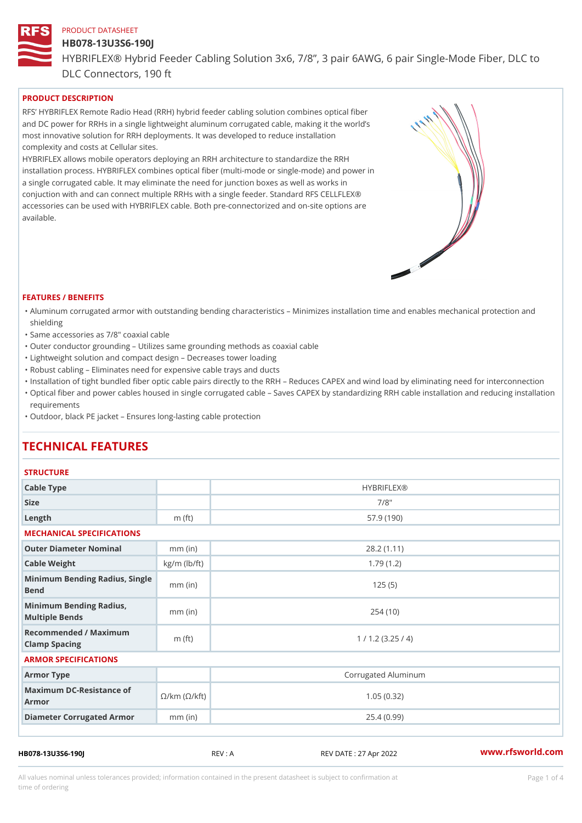# HB078-13U3S6-190J

HYBRIFLEX® Hybrid Feeder Cabling Solution 3x6, 7/8, 3 pair 6AWG, 6 DLC Connectors, 190 ft

# PRODUCT DESCRIPTION

RFS HYBRIFLEX Remote Radio Head (RRH) hybrid feeder cabling solution combines optical fibe and DC power for RRHs in a single lightweight aluminum corrugated cable, making it the world s most innovative solution for RRH deployments. It was developed to reduce installation complexity and costs at Cellular sites.

HYBRIFLEX allows mobile operators deploying an RRH architecture to standardize the RRH installation process. HYBRIFLEX combines optical fiber (multi-mode or single-mode) and power in a single corrugated cable. It may eliminate the need for junction boxes as well as works in conjuction with and can connect multiple RRHs with a single feeder. Standard RFS CELLFLEX® accessories can be used with HYBRIFLEX cable. Both pre-connectorized and on-site options are available.

#### FEATURES / BENEFITS

- "Aluminum corrugated armor with outstanding bending characteristics Minimizes installation time a shielding
- "Same accessories as 7/8" coaxial cable
- "Outer conductor grounding Utilizes same grounding methods as coaxial cable
- "Lightweight solution and compact design Decreases tower loading
- "Robust cabling Eliminates need for expensive cable trays and ducts
- "Installation of tight bundled fiber optic cable pairs directly to the RRH and belogies CAPEX and wind  $\theta$
- "Optical fiber and power cables housed in single corrugated cable  $\,$  Saves CAPEX by standardiz $\,$ ng  $\,$ requirements
- "Outdoor, black PE jacket Ensures long-lasting cable protection

# TECHNICAL FEATURES

# **STRUCTURE**

| Cable Type                                                             |                    | <b>HYBRIFLEX®</b>   |  |  |  |
|------------------------------------------------------------------------|--------------------|---------------------|--|--|--|
| Size                                                                   |                    | $7/8$ "             |  |  |  |
| Length                                                                 | m $(ft)$           | 57.9(190)           |  |  |  |
| MECHANICAL SPECIFICATIONS                                              |                    |                     |  |  |  |
| Outer Diameter Nominal                                                 | $mm$ (in)          | 28.2(1.11)          |  |  |  |
| Cable Weight                                                           | $kg/m$ ( $lb/ft$ ) | 1.79(1.2)           |  |  |  |
| Minimum Bending Radius, Single<br>Bend                                 |                    | 125(5)              |  |  |  |
| Minimum Bending Radius,<br>Multiple Bends                              | $mm$ (in)          | 254(10)             |  |  |  |
| Recommended / Maximum<br>Clamp Spacing                                 | m $(ft)$           | 1 / 1.2 (3.25 / 4)  |  |  |  |
| ARMOR SPECIFICATIONS                                                   |                    |                     |  |  |  |
| Armor Type                                                             |                    | Corrugated Aluminum |  |  |  |
| Maximum DC-Resistance $\mathcal{S}/k$ m ( $\mathcal{O}/k$ ft)<br>Armor |                    | 1.05(0.32)          |  |  |  |
| Diameter Corrugated Armomm (in)                                        |                    | 25.4(0.99)          |  |  |  |
|                                                                        |                    |                     |  |  |  |

HB078-13U3S6-190J REV : A REV DATE : 27 Apr 2022 [www.](https://www.rfsworld.com)rfsworld.com

All values nominal unless tolerances provided; information contained in the present datasheet is subject to Pcapgeligim attio time of ordering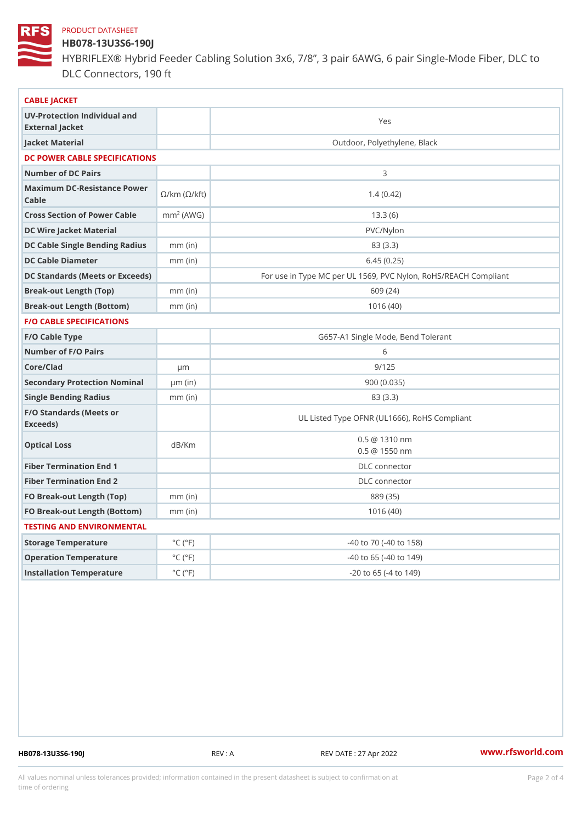# HB078-13U3S6-190J

HYBRIFLEX® Hybrid Feeder Cabling Solution 3x6, 7/8, 3 pair 6AWG, 6 DLC Connectors, 190 ft

| CABLE JACKET                                                                                                                    |                             |                                                      |
|---------------------------------------------------------------------------------------------------------------------------------|-----------------------------|------------------------------------------------------|
| UV-Protection Individual and<br>External Jacket                                                                                 |                             | Yes                                                  |
| Jacket Material                                                                                                                 |                             | Outdoor, Polyethylene, Black                         |
| DC POWER CABLE SPECIFICATIONS                                                                                                   |                             |                                                      |
| Number of DC Pairs                                                                                                              |                             | 3                                                    |
| Maximum DC-Resistance $\bigotimes_{k=m}^{\infty}$ ( $\bigotimes_{k=m}^{\infty}$ /km ( $\bigotimes_{k=m}^{\infty}$ )<br>$C$ able |                             | 1.4(0.42)                                            |
| Cross Section of Power Cnamble (AWG)                                                                                            |                             | 13.3(6)                                              |
| DC Wire Jacket Material                                                                                                         |                             | $PVC/Ny$ lon                                         |
| DC Cable Single Bending Rhandi(uish)                                                                                            |                             | 83 (3.3)                                             |
| DC Cable Diameter                                                                                                               | $mm$ (in)                   | 6.45(0.25)                                           |
| DC Standards (Meets or Exceeds)                                                                                                 |                             | For use in Type MC per UL 1569, PVC Nylon, RoHS/REAC |
| Break-out Length (Top)                                                                                                          | $mm$ (in)                   | 609 (24)                                             |
| Break-out Length (Bottcm)mm (in)                                                                                                |                             | 1016(40)                                             |
| F/O CABLE SPECIFICATIONS                                                                                                        |                             |                                                      |
| F/O Cable Type                                                                                                                  |                             | G657-A1 Single Mode, Bend Tolerant                   |
| Number of F/O Pairs                                                                                                             |                             | 6                                                    |
| Core/Clad                                                                                                                       | $\mu$ m                     | 9/125                                                |
| Secondary Protection Nominal(in)                                                                                                |                             | 900(0.035)                                           |
| Single Bending Radius                                                                                                           | $mm$ (in)                   | 83 (3.3)                                             |
| F/O Standards (Meets or<br>Exceeds)                                                                                             |                             | UL Listed Type OFNR (UL1666), RoHS Compliant         |
| Optical Loss                                                                                                                    | dB/Km                       | $0.5 \t@ 1310 nm$<br>$0.5 \ @ \ 1550 \ nm$           |
| Fiber Termination End                                                                                                           |                             | DLC connector                                        |
| Fiber Termination End 2                                                                                                         |                             | DLC connector                                        |
| FO Break-out Length (Top)mm (in)                                                                                                |                             | 889 (35)                                             |
| FO Break-out Length (Bottomm) (in)                                                                                              |                             | 1016(40)                                             |
| TESTING AND ENVIRONMENTAL                                                                                                       |                             |                                                      |
| Storage Temperature                                                                                                             | $^{\circ}$ C ( $^{\circ}$ F | -40 to 70 (-40 to 158)                               |
| Operation Temperature                                                                                                           | $^{\circ}$ C ( $^{\circ}$ F | $-40$ to 65 ( $-40$ to 149)                          |
| Installation Temperature                                                                                                        | $^{\circ}$ C ( $^{\circ}$ F | $-20$ to $65$ ( $-4$ to $149$ )                      |
|                                                                                                                                 |                             |                                                      |

HB078-13U3S6-190J REV : A REV DATE : 27 Apr 2022 [www.](https://www.rfsworld.com)rfsworld.com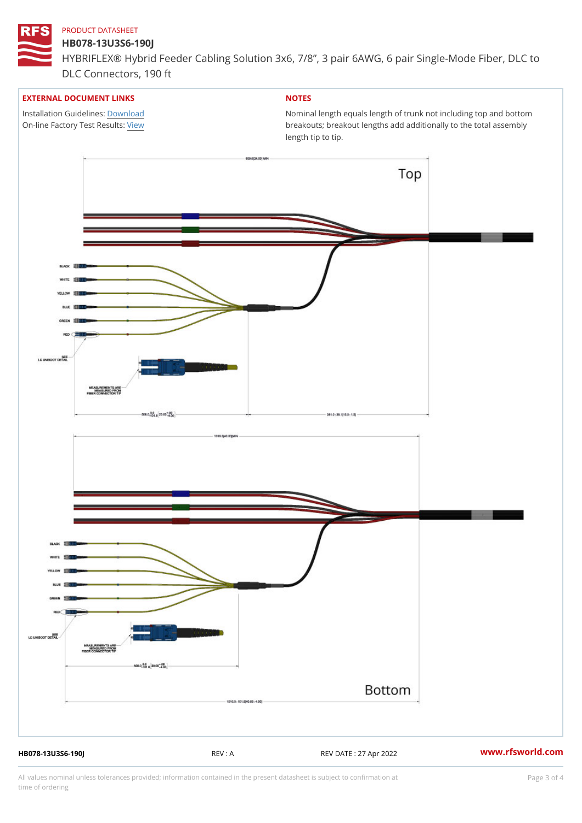### HB078-13U3S6-190J

HYBRIFLEX® Hybrid Feeder Cabling Solution 3x6, 7/8, 3 pair 6AWG, 6 DLC Connectors, 190 ft

### EXTERNAL DOCUMENT LINKS

Installation Guidelwinessad On-line Factory Te[s](https://www.rfsworld.com/pictures/userfiles/programs/AAST Latest Version.zip)/teRvesults:

# NOTES

Nominal length equals length of trunk not including t breakouts; breakout lengths add additionally to the t length tip to tip.

HB078-13U3S6-190J REV : A REV DATE : 27 Apr 2022 [www.](https://www.rfsworld.com)rfsworld.com

All values nominal unless tolerances provided; information contained in the present datasheet is subject to Pcapgeling that i time of ordering